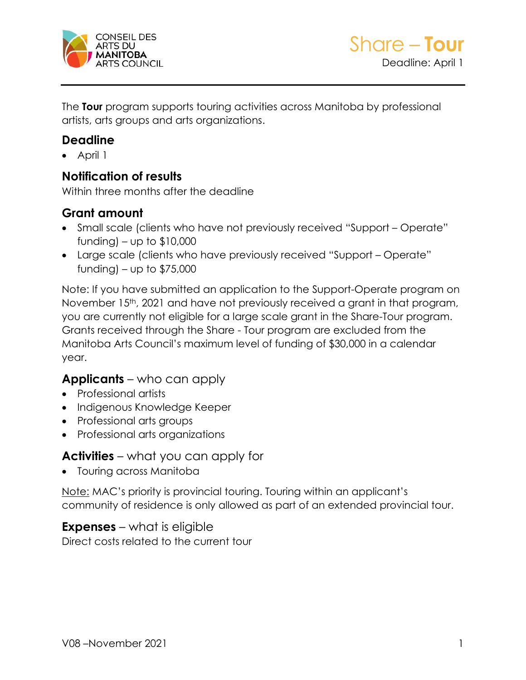

The **Tour** program supports touring activities across Manitoba by professional artists, arts groups and arts organizations.

### **Deadline**

• April 1

### **Notification of results**

Within three months after the deadline

### **Grant amount**

- Small scale (clients who have not previously received "Support Operate" funding) – up to  $$10,000$
- Large scale (clients who have previously received "Support Operate" funding) – up to  $$75,000$

Note: If you have submitted an application to the Support-Operate program on November 15<sup>th</sup>, 2021 and have not previously received a grant in that program, you are currently not eligible for a large scale grant in the Share-Tour program. Grants received through the Share - Tour program are excluded from the Manitoba Arts Council's maximum level of funding of \$30,000 in a calendar year.

### **Applicants** – who can apply

- Professional artists
- Indigenous Knowledge Keeper
- Professional arts groups
- Professional arts organizations

### **Activities** – what you can apply for

• Touring across Manitoba

Note: MAC's priority is provincial touring. Touring within an applicant's community of residence is only allowed as part of an extended provincial tour.

### **Expenses** – what is eligible

Direct costs related to the current tour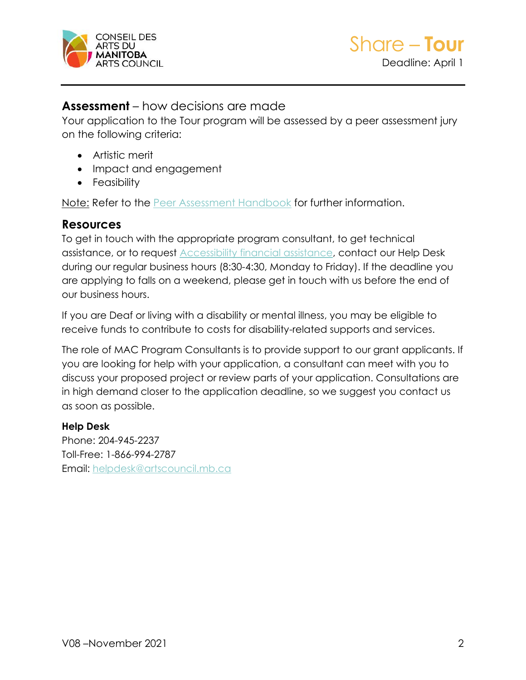

### **Assessment** – how decisions are made

Your application to the Tour program will be assessed by a peer assessment jury on the following criteria:

- Artistic merit
- Impact and engagement
- Feasibility

Note: Refer to the [Peer Assessment Handbook](https://artscouncil.mb.ca/grants/peer-assessment/) for further information.

### **Resources**

To get in touch with the appropriate program consultant, to get technical assistance, or to request [Accessibility financial assistance,](https://artscouncil.mb.ca/grants/accessibility/) contact our Help Desk during our regular business hours (8:30-4:30, Monday to Friday). If the deadline you are applying to falls on a weekend, please get in touch with us before the end of our business hours.

If you are Deaf or living with a disability or mental illness, you may be eligible to receive funds to contribute to costs for disability-related supports and services.

The role of MAC Program Consultants is to provide support to our grant applicants. If you are looking for help with your application, a consultant can meet with you to discuss your proposed project or review parts of your application. Consultations are in high demand closer to the application deadline, so we suggest you contact us as soon as possible.

#### **Help Desk**

Phone: 204-945-2237 Toll-Free: 1-866-994-2787 Email: [helpdesk@artscouncil.mb.ca](mailto:helpdesk@artscouncil.mb.ca)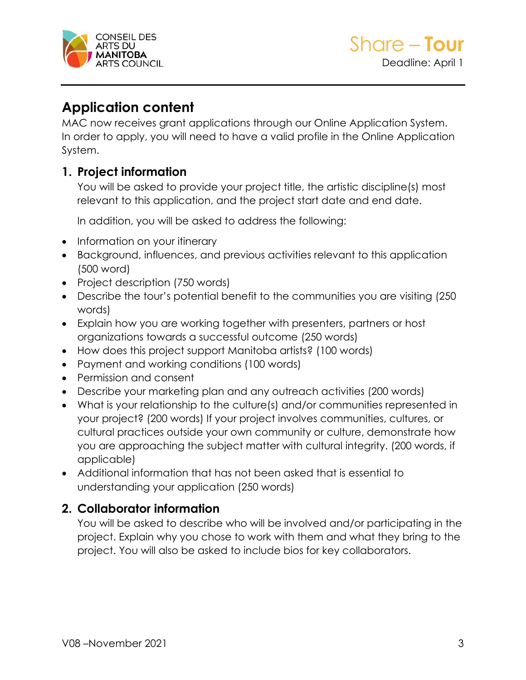

# **Application content**

MAC now receives grant applications through our Online Application System. In order to apply, you will need to have a valid profile in the Online Application System.

### **1. Project information**

You will be asked to provide your project title, the artistic discipline(s) most relevant to this application, and the project start date and end date.

In addition, you will be asked to address the following:

- Information on your itinerary
- Background, influences, and previous activities relevant to this application (500 word)
- Project description (750 words)
- Describe the tour's potential benefit to the communities you are visiting (250 words)
- Explain how you are working together with presenters, partners or host organizations towards a successful outcome (250 words)
- How does this project support Manitoba artists? (100 words)
- Payment and working conditions (100 words)
- Permission and consent
- Describe your marketing plan and any outreach activities (200 words)
- What is your relationship to the culture(s) and/or communities represented in your project? (200 words) If your project involves communities, cultures, or cultural practices outside your own community or culture, demonstrate how you are approaching the subject matter with cultural integrity. (200 words, if applicable)
- Additional information that has not been asked that is essential to understanding your application (250 words)

## **2. Collaborator information**

You will be asked to describe who will be involved and/or participating in the project. Explain why you chose to work with them and what they bring to the project. You will also be asked to include bios for key collaborators.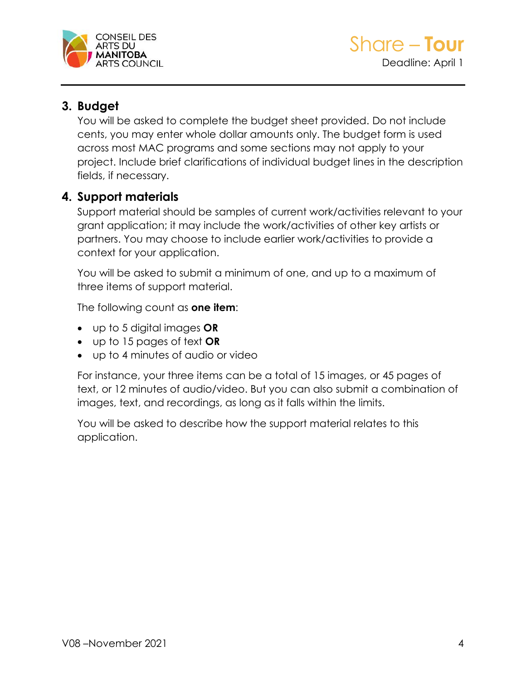

## **3. Budget**

You will be asked to complete the budget sheet provided. Do not include cents, you may enter whole dollar amounts only. The budget form is used across most MAC programs and some sections may not apply to your project. Include brief clarifications of individual budget lines in the description fields, if necessary.

## **4. Support materials**

Support material should be samples of current work/activities relevant to your grant application; it may include the work/activities of other key artists or partners. You may choose to include earlier work/activities to provide a context for your application.

You will be asked to submit a minimum of one, and up to a maximum of three items of support material.

The following count as **one item**:

- up to 5 digital images **OR**
- up to 15 pages of text **OR**
- up to 4 minutes of audio or video

For instance, your three items can be a total of 15 images, or 45 pages of text, or 12 minutes of audio/video. But you can also submit a combination of images, text, and recordings, as long as it falls within the limits.

You will be asked to describe how the support material relates to this application.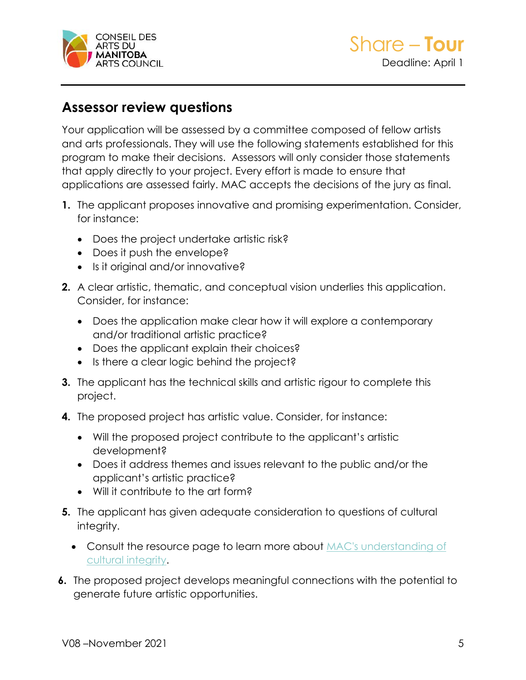

# **Assessor review questions**

Your application will be assessed by a committee composed of fellow artists and arts professionals. They will use the following statements established for this program to make their decisions. Assessors will only consider those statements that apply directly to your project. Every effort is made to ensure that applications are assessed fairly. MAC accepts the decisions of the jury as final.

- **1.** The applicant proposes innovative and promising experimentation. Consider, for instance:
	- Does the project undertake artistic risk?
	- Does it push the envelope?
	- Is it original and/or innovative?
- **2.** A clear artistic, thematic, and conceptual vision underlies this application. Consider, for instance:
	- Does the application make clear how it will explore a contemporary and/or traditional artistic practice?
	- Does the applicant explain their choices?
	- Is there a clear logic behind the project?
- **3.** The applicant has the technical skills and artistic rigour to complete this project.
- **4.** The proposed project has artistic value. Consider, for instance:
	- Will the proposed project contribute to the applicant's artistic development?
	- Does it address themes and issues relevant to the public and/or the applicant's artistic practice?
	- Will it contribute to the art form?
- **5.** The applicant has given adequate consideration to questions of cultural integrity.
	- Consult the resource page to learn more about MAC's understanding of [cultural integrity.](https://artscouncil.mb.ca/grants/resources/cultural-integrity/)
- **6.** The proposed project develops meaningful connections with the potential to generate future artistic opportunities.